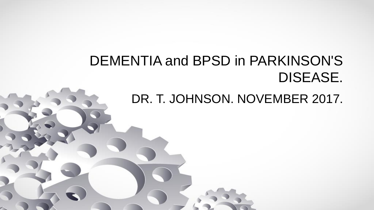# DEMENTIA and BPSD in PARKINSON'S DISEASE.

DR. T. JOHNSON. NOVEMBER 2017.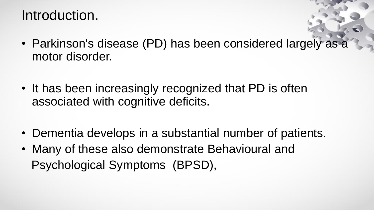#### Introduction.

- Parkinson's disease (PD) has been considered largely as a motor disorder.
- It has been increasingly recognized that PD is often associated with cognitive deficits.
- Dementia develops in a substantial number of patients.
- Many of these also demonstrate Behavioural and Psychological Symptoms (BPSD),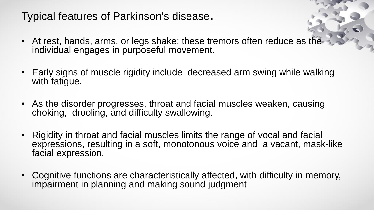#### Typical features of Parkinson's disease.

- At rest, hands, arms, or legs shake; these tremors often reduce as the individual engages in purposeful movement.
- Early signs of muscle rigidity include decreased arm swing while walking with fatigue.
- As the disorder progresses, throat and facial muscles weaken, causing choking, drooling, and difficulty swallowing.
- Rigidity in throat and facial muscles limits the range of vocal and facial expressions, resulting in a soft, monotonous voice and a vacant, mask-like facial expression.
- Cognitive functions are characteristically affected, with difficulty in memory, impairment in planning and making sound judgment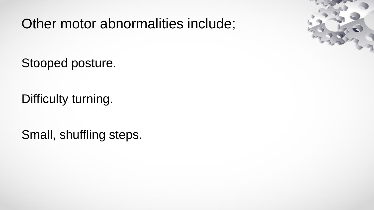Other motor abnormalities include;

Stooped posture.

Difficulty turning.

Small, shuffling steps.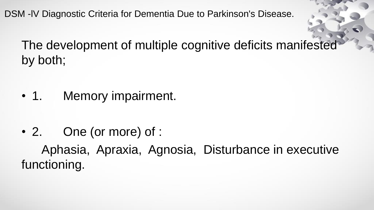DSM -lV Diagnostic Criteria for Dementia Due to Parkinson's Disease.

The development of multiple cognitive deficits manifested by both;

- 1. Memory impairment.
- 2. One (or more) of : Aphasia, Apraxia, Agnosia, Disturbance in executive functioning.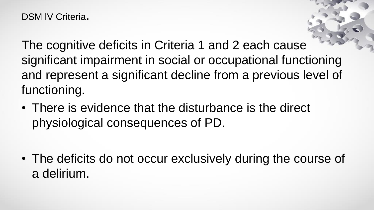DSM IV Criteria.

The cognitive deficits in Criteria 1 and 2 each cause significant impairment in social or occupational functioning and represent a significant decline from a previous level of functioning.

• There is evidence that the disturbance is the direct physiological consequences of PD.

• The deficits do not occur exclusively during the course of a delirium.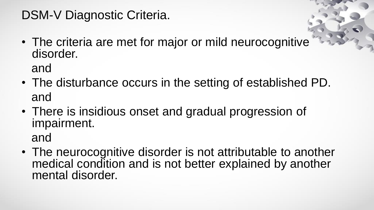#### DSM-V Diagnostic Criteria.

• The criteria are met for major or mild neurocognitive disorder.

and

- The disturbance occurs in the setting of established PD. and
- There is insidious onset and gradual progression of impairment.

and

• The neurocognitive disorder is not attributable to another medical condition and is not better explained by another mental disorder.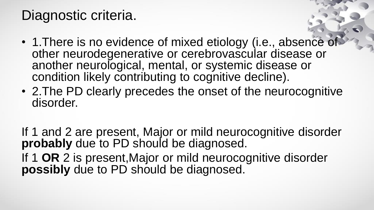#### Diagnostic criteria.

- 1. There is no evidence of mixed etiology (i.e., absence of other neurodegenerative or cerebrovascular disease or another neurological, mental, or systemic disease or condition likely contributing to cognitive decline).
- 2.The PD clearly precedes the onset of the neurocognitive disorder.

If 1 and 2 are present, Major or mild neurocognitive disorder probably due to PD should be diagnosed. If 1 **OR** 2 is present,Major or mild neurocognitive disorder **possibly** due to PD should be diagnosed.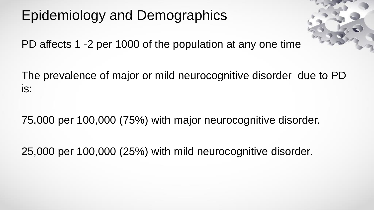# Epidemiology and Demographics



PD affects 1 -2 per 1000 of the population at any one time

The prevalence of major or mild neurocognitive disorder due to PD is:

75,000 per 100,000 (75%) with major neurocognitive disorder.

25,000 per 100,000 (25%) with mild neurocognitive disorder.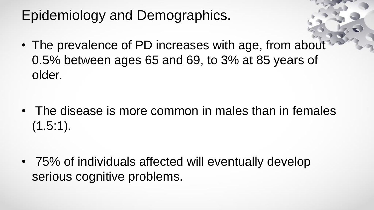# Epidemiology and Demographics.

• The prevalence of PD increases with age, from about 0.5% between ages 65 and 69, to 3% at 85 years of older.

• The disease is more common in males than in females  $(1.5:1)$ .

• 75% of individuals affected will eventually develop serious cognitive problems.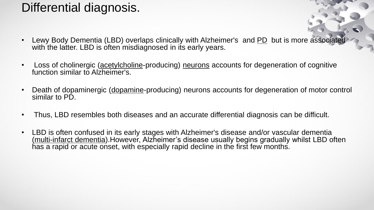#### Differential diagnosis.

- Lewy Body Dementia (LBD) overlaps clinically with Alzheimer's and PD but is more associated with the latter. LBD is often misdiagnosed in its early years.
- Loss of cholinergic (acetylcholine-producing) neurons accounts for degeneration of cognitive function similar to Alzheimer's.
- Death of dopaminergic (dopamine-producing) neurons accounts for degeneration of motor control similar to PD.
- Thus, LBD resembles both diseases and an accurate differential diagnosis can be difficult.
- LBD is often confused in its early stages with Alzheimer's disease and/or vascular dementia (multi-infarct dementia).However, Alzheimer's disease usually begins gradually whilst LBD often has a rapid or acute onset, with especially rapid decline in the first few months.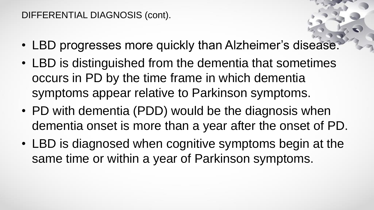#### DIFFERENTIAL DIAGNOSIS (cont).

- LBD progresses more quickly than Alzheimer's disease.
- LBD is distinguished from the dementia that sometimes occurs in PD by the time frame in which dementia symptoms appear relative to Parkinson symptoms.
- PD with dementia (PDD) would be the diagnosis when dementia onset is more than a year after the onset of PD.
- LBD is diagnosed when cognitive symptoms begin at the same time or within a year of Parkinson symptoms.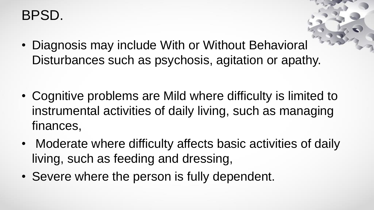#### BPSD.

- Diagnosis may include With or Without Behavioral Disturbances such as psychosis, agitation or apathy.
- Cognitive problems are Mild where difficulty is limited to instrumental activities of daily living, such as managing finances,
- Moderate where difficulty affects basic activities of daily living, such as feeding and dressing,
- Severe where the person is fully dependent.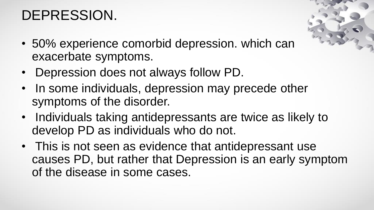# DEPRESSION.

- 50% experience comorbid depression. which can exacerbate symptoms.
- Depression does not always follow PD.
- In some individuals, depression may precede other symptoms of the disorder.
- Individuals taking antidepressants are twice as likely to develop PD as individuals who do not.
- This is not seen as evidence that antidepressant use causes PD, but rather that Depression is an early symptom of the disease in some cases.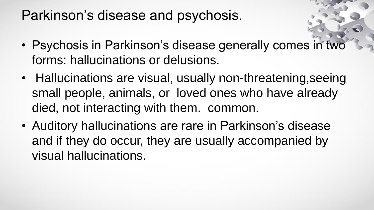#### Parkinson's disease and psychosis.

- Psychosis in Parkinson's disease generally comes in two forms: hallucinations or delusions.
- Hallucinations are visual, usually non-threatening, seeing small people, animals, or loved ones who have already died, not interacting with them. common.
- Auditory hallucinations are rare in Parkinson's disease and if they do occur, they are usually accompanied by visual hallucinations.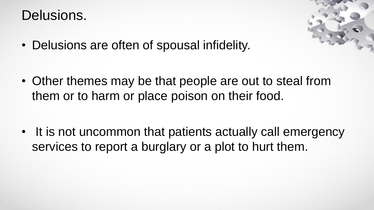#### Delusions.



• Delusions are often of spousal infidelity.

• Other themes may be that people are out to steal from them or to harm or place poison on their food.

• It is not uncommon that patients actually call emergency services to report a burglary or a plot to hurt them.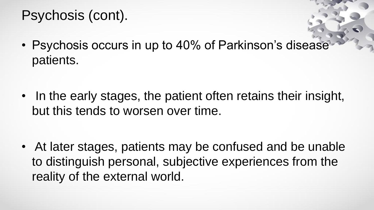## Psychosis (cont).

• Psychosis occurs in up to 40% of Parkinson's disease patients.

• In the early stages, the patient often retains their insight, but this tends to worsen over time.

• At later stages, patients may be confused and be unable to distinguish personal, subjective experiences from the reality of the external world.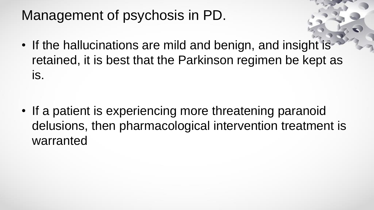## Management of psychosis in PD.

• If the hallucinations are mild and benign, and insight is retained, it is best that the Parkinson regimen be kept as is.

• If a patient is experiencing more threatening paranoid delusions, then pharmacological intervention treatment is warranted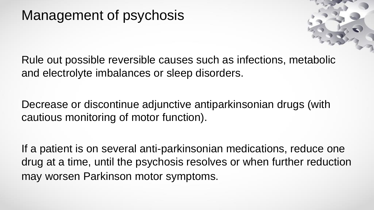#### Management of psychosis



Rule out possible reversible causes such as infections, metabolic and electrolyte imbalances or sleep disorders.

Decrease or discontinue adjunctive antiparkinsonian drugs (with cautious monitoring of motor function).

If a patient is on several anti-parkinsonian medications, reduce one drug at a time, until the psychosis resolves or when further reduction may worsen Parkinson motor symptoms.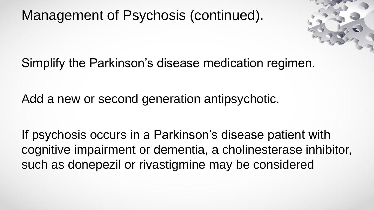Management of Psychosis (continued).



Simplify the Parkinson's disease medication regimen.

Add a new or second generation antipsychotic.

If psychosis occurs in a Parkinson's disease patient with cognitive impairment or dementia, a cholinesterase inhibitor, such as donepezil or rivastigmine may be considered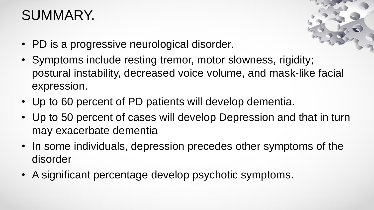# SUMMARY.



- PD is a progressive neurological disorder.
- Symptoms include resting tremor, motor slowness, rigidity; postural instability, decreased voice volume, and mask-like facial expression.
- Up to 60 percent of PD patients will develop dementia.
- Up to 50 percent of cases will develop Depression and that in turn may exacerbate dementia
- In some individuals, depression precedes other symptoms of the disorder
- A significant percentage develop psychotic symptoms.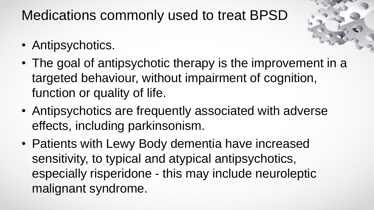Medications commonly used to treat BPSD

- Antipsychotics.
- The goal of antipsychotic therapy is the improvement in a targeted behaviour, without impairment of cognition, function or quality of life.
- Antipsychotics are frequently associated with adverse effects, including parkinsonism.
- Patients with Lewy Body dementia have increased sensitivity, to typical and atypical antipsychotics, especially risperidone - this may include neuroleptic malignant syndrome.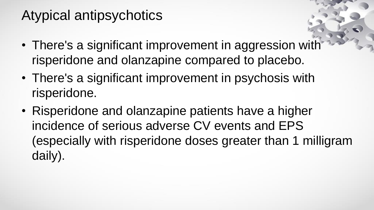# Atypical antipsychotics

- There's a significant improvement in aggression with risperidone and olanzapine compared to placebo.
- There's a significant improvement in psychosis with risperidone.
- Risperidone and olanzapine patients have a higher incidence of serious adverse CV events and EPS (especially with risperidone doses greater than 1 milligram daily).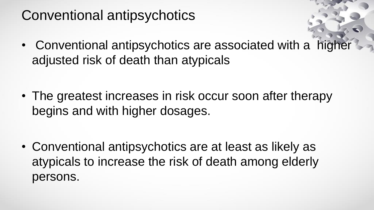# Conventional antipsychotics

• Conventional antipsychotics are associated with a higher adjusted risk of death than atypicals

• The greatest increases in risk occur soon after therapy begins and with higher dosages.

• Conventional antipsychotics are at least as likely as atypicals to increase the risk of death among elderly persons.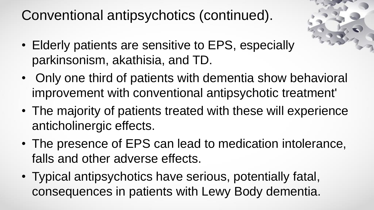Conventional antipsychotics (continued).

- 
- Elderly patients are sensitive to EPS, especially parkinsonism, akathisia, and TD.
- Only one third of patients with dementia show behavioral improvement with conventional antipsychotic treatment'
- The majority of patients treated with these will experience anticholinergic effects.
- The presence of EPS can lead to medication intolerance, falls and other adverse effects.
- Typical antipsychotics have serious, potentially fatal, consequences in patients with Lewy Body dementia.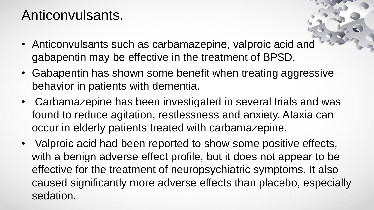## Anticonvulsants.

- Anticonvulsants such as carbamazepine, valproic acid and gabapentin may be effective in the treatment of BPSD.
- Gabapentin has shown some benefit when treating aggressive behavior in patients with dementia.
- Carbamazepine has been investigated in several trials and was found to reduce agitation, restlessness and anxiety. Ataxia can occur in elderly patients treated with carbamazepine.
- Valproic acid had been reported to show some positive effects, with a benign adverse effect profile, but it does not appear to be effective for the treatment of neuropsychiatric symptoms. It also caused significantly more adverse effects than placebo, especially sedation.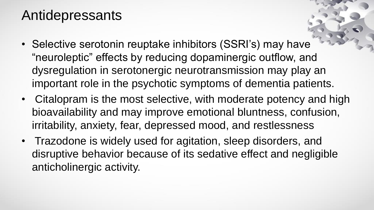#### Antidepressants

- Selective serotonin reuptake inhibitors (SSRI's) may have "neuroleptic" effects by reducing dopaminergic outflow, and dysregulation in serotonergic neurotransmission may play an important role in the psychotic symptoms of dementia patients.
- Citalopram is the most selective, with moderate potency and high bioavailability and may improve emotional bluntness, confusion, irritability, anxiety, fear, depressed mood, and restlessness
- Trazodone is widely used for agitation, sleep disorders, and disruptive behavior because of its sedative effect and negligible anticholinergic activity.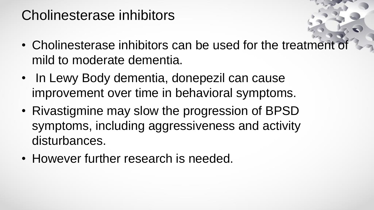# Cholinesterase inhibitors

- Cholinesterase inhibitors can be used for the treatment of mild to moderate dementia.
- In Lewy Body dementia, donepezil can cause improvement over time in behavioral symptoms.
- Rivastigmine may slow the progression of BPSD symptoms, including aggressiveness and activity disturbances.
- However further research is needed.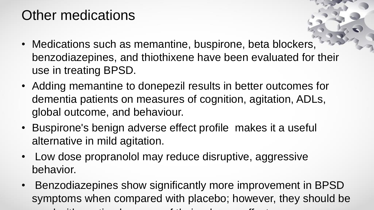# Other medications

- Medications such as memantine, buspirone, beta blockers, benzodiazepines, and thiothixene have been evaluated for their use in treating BPSD.
- Adding memantine to donepezil results in better outcomes for dementia patients on measures of cognition, agitation, ADLs, global outcome, and behaviour.
- Buspirone's benign adverse effect profile makes it a useful alternative in mild agitation.
- Low dose propranolol may reduce disruptive, aggressive behavior.

 $u_1$  used with cause of the cause of the their adverse effects of the their adverse effects of the their adverse effects of the cause of the their adverse effects of the their adverse effects of the cause of the theories

• Benzodiazepines show significantly more improvement in BPSD symptoms when compared with placebo; however, they should be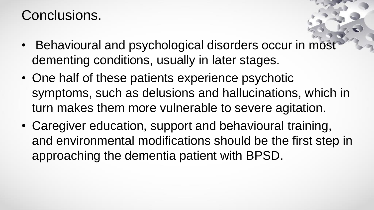## Conclusions.

- Behavioural and psychological disorders occur in most dementing conditions, usually in later stages.
- One half of these patients experience psychotic symptoms, such as delusions and hallucinations, which in turn makes them more vulnerable to severe agitation.
- Caregiver education, support and behavioural training, and environmental modifications should be the first step in approaching the dementia patient with BPSD.